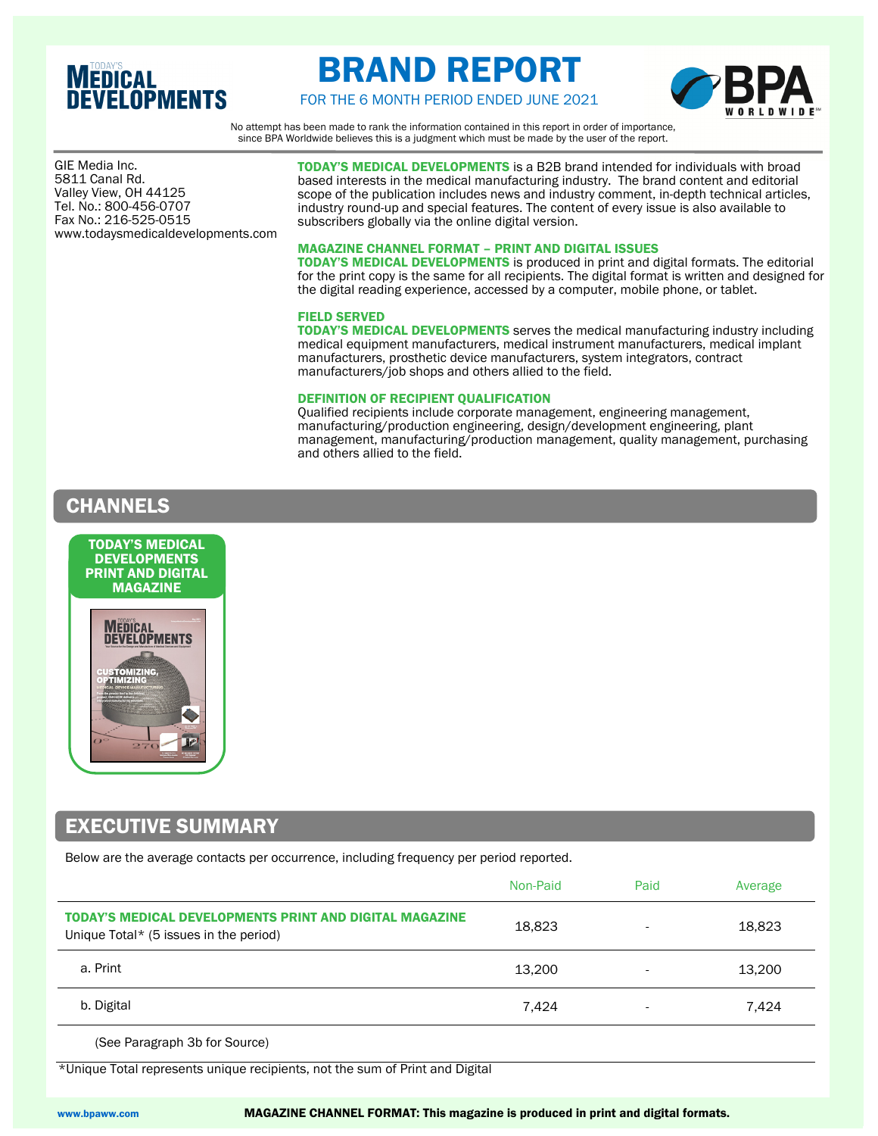# **MEDICAL**<br>DEVELOPMENTS

# BRAND REPORT



FOR THE 6 MONTH PERIOD ENDED JUNE 2021

No attempt has been made to rank the information contained in this report in order of importance, since BPA Worldwide believes this is a judgment which must be made by the user of the report.

 Valley View, OH 44125 GIE Media Inc. 5811 Canal Rd. Tel. No.: 800-456-0707 Fax No.: 216-525-0515 www.todaysmedicaldevelopments.com

TODAY'S MEDICAL DEVELOPMENTS is a B2B brand intended for individuals with broad based interests in the medical manufacturing industry. The brand content and editorial scope of the publication includes news and industry comment, in-depth technical articles, industry round-up and special features. The content of every issue is also available to subscribers globally via the online digital version.

#### MAGAZINE CHANNEL FORMAT – PRINT AND DIGITAL ISSUES

TODAY'S MEDICAL DEVELOPMENTS is produced in print and digital formats. The editorial for the print copy is the same for all recipients. The digital format is written and designed for the digital reading experience, accessed by a computer, mobile phone, or tablet.

#### FIELD SERVED

TODAY'S MEDICAL DEVELOPMENTS serves the medical manufacturing industry including medical equipment manufacturers, medical instrument manufacturers, medical implant manufacturers, prosthetic device manufacturers, system integrators, contract manufacturers/job shops and others allied to the field.

#### DEFINITION OF RECIPIENT QUALIFICATION

Qualified recipients include corporate management, engineering management, manufacturing/production engineering, design/development engineering, plant management, manufacturing/production management, quality management, purchasing and others allied to the field.

### CHANNELS



# EXECUTIVE SUMMARY

Below are the average contacts per occurrence, including frequency per period reported.

|                                                                                                   | Non-Paid | Paid                     | Average |
|---------------------------------------------------------------------------------------------------|----------|--------------------------|---------|
| TODAY'S MEDICAL DEVELOPMENTS PRINT AND DIGITAL MAGAZINE<br>Unique Total* (5 issues in the period) | 18.823   | $\overline{\phantom{0}}$ | 18,823  |
| a. Print                                                                                          | 13.200   | $\overline{\phantom{a}}$ | 13,200  |
| b. Digital                                                                                        | 7,424    | $\overline{\phantom{a}}$ | 7,424   |
| $(0.88 \text{ hours}$ signals $2\frac{1}{2}$ for $0.81$                                           |          |                          |         |

(See Paragraph 3b for Source)

\*Unique Total represents unique recipients, not the sum of Print and Digital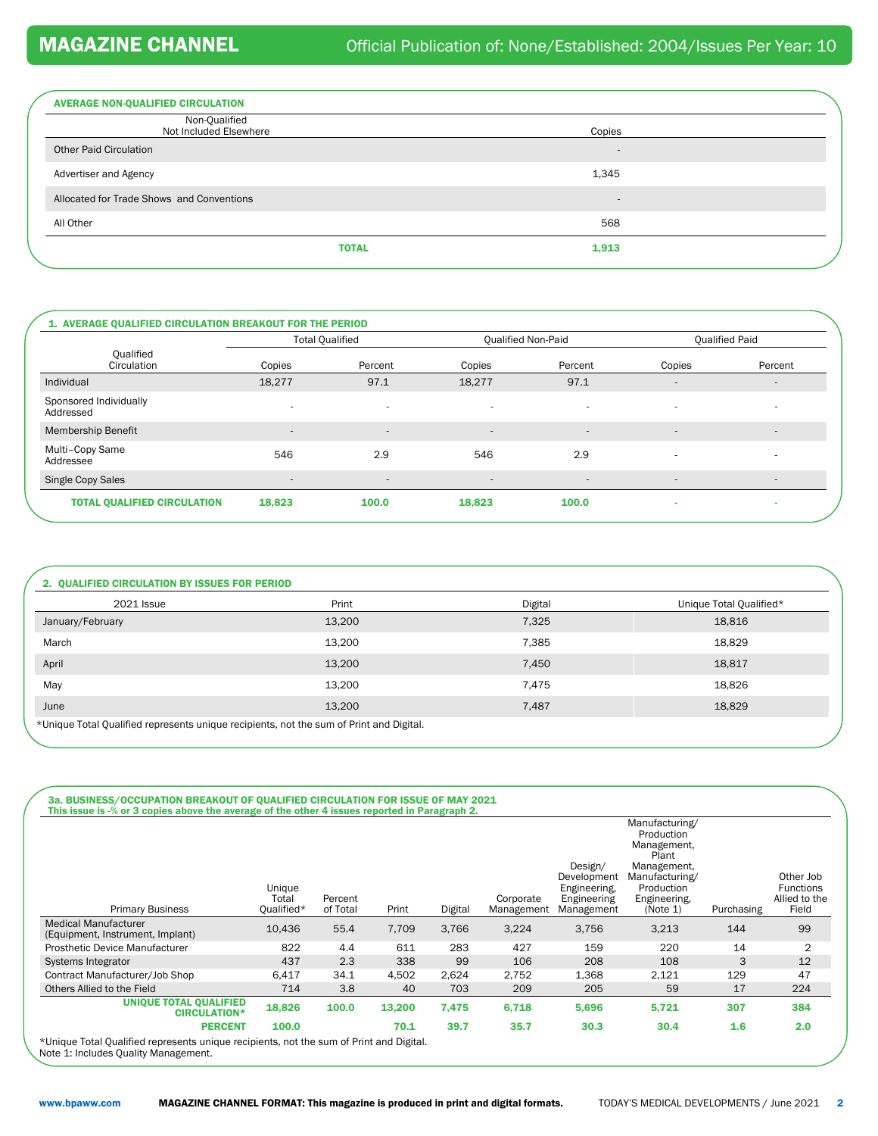| <b>AVERAGE NON-QUALIFIED CIRCULATION</b>  |                          |
|-------------------------------------------|--------------------------|
| Non-Qualified<br>Not Included Elsewhere   | Copies                   |
| <b>Other Paid Circulation</b>             | $\overline{\phantom{a}}$ |
| Advertiser and Agency                     | 1,345                    |
| Allocated for Trade Shows and Conventions | $\overline{\phantom{a}}$ |
| All Other                                 | 568                      |
| <b>TOTAL</b>                              | 1,913                    |
|                                           |                          |

|                                     |                          | <b>Total Qualified</b>   |                          | <b>Qualified Non-Paid</b> | <b>Oualified Paid</b>    |                          |
|-------------------------------------|--------------------------|--------------------------|--------------------------|---------------------------|--------------------------|--------------------------|
| Qualified<br>Circulation            | Copies                   | Percent                  | Copies                   | Percent                   | Copies                   | Percent                  |
| Individual                          | 18.277                   | 97.1                     | 18,277                   | 97.1                      | $\overline{\phantom{a}}$ | $\overline{a}$           |
| Sponsored Individually<br>Addressed | $\overline{\phantom{a}}$ | $\sim$                   | $\overline{\phantom{a}}$ | $\overline{\phantom{a}}$  | $\overline{\phantom{a}}$ | $\overline{\phantom{a}}$ |
| <b>Membership Benefit</b>           | $\qquad \qquad -$        | $\overline{\phantom{a}}$ | $\qquad \qquad -$        | $\overline{\phantom{a}}$  | $\overline{\phantom{a}}$ | $\sim$                   |
| Multi-Copy Same<br>Addressee        | 546                      | 2.9                      | 546                      | 2.9                       | $\overline{\phantom{a}}$ | $\overline{\phantom{a}}$ |
| Single Copy Sales                   | $\overline{\phantom{a}}$ | $\overline{\phantom{a}}$ | $\qquad \qquad -$        | $\overline{\phantom{a}}$  | $\overline{\phantom{a}}$ | $\overline{a}$           |
| <b>TOTAL QUALIFIED CIRCULATION</b>  | 18,823                   | 100.0                    | 18,823                   | 100.0                     | ۰                        |                          |

|        |                                                                                         | Unique Total Qualified* |
|--------|-----------------------------------------------------------------------------------------|-------------------------|
| 13,200 | 7,325                                                                                   | 18,816                  |
| 13,200 | 7,385                                                                                   | 18,829                  |
| 13,200 | 7,450                                                                                   | 18,817                  |
| 13.200 | 7,475                                                                                   | 18,826                  |
| 13,200 | 7,487                                                                                   | 18,829                  |
|        | *Unique Total Qualified represents unique recipients, not the sum of Print and Digital. |                         |

| <b>Primary Business</b>                                         | Unique<br>Total<br>Oualified* | Percent<br>of Total | Print  | Digital | Corporate<br>Management | Design/<br>Development<br>Engineering,<br>Engineering<br>Management | Manufacturing/<br>Production<br>Management,<br>Plant<br>Management,<br>Manufacturing/<br>Production<br>Engineering,<br>(Note 1) | Purchasing | Other Job<br><b>Functions</b><br>Allied to the<br>Field |
|-----------------------------------------------------------------|-------------------------------|---------------------|--------|---------|-------------------------|---------------------------------------------------------------------|---------------------------------------------------------------------------------------------------------------------------------|------------|---------------------------------------------------------|
| <b>Medical Manufacturer</b><br>(Equipment, Instrument, Implant) | 10,436                        | 55.4                | 7.709  | 3,766   | 3,224                   | 3,756                                                               | 3,213                                                                                                                           | 144        | 99                                                      |
| <b>Prosthetic Device Manufacturer</b>                           | 822                           | 4.4                 | 611    | 283     | 427                     | 159                                                                 | 220                                                                                                                             | 14         | $\overline{2}$                                          |
| Systems Integrator                                              | 437                           | 2.3                 | 338    | 99      | 106                     | 208                                                                 | 108                                                                                                                             | 3          | 12                                                      |
| Contract Manufacturer/Job Shop                                  | 6,417                         | 34.1                | 4,502  | 2,624   | 2,752                   | 1,368                                                               | 2,121                                                                                                                           | 129        | 47                                                      |
| Others Allied to the Field                                      | 714                           | 3.8                 | 40     | 703     | 209                     | 205                                                                 | 59                                                                                                                              | 17         | 224                                                     |
| <b>UNIQUE TOTAL QUALIFIED</b><br><b>CIRCULATION*</b>            | 18,826                        | 100.0               | 13,200 | 7,475   | 6,718                   | 5,696                                                               | 5,721                                                                                                                           | 307        | 384                                                     |
| <b>PERCENT</b>                                                  | 100.0                         |                     | 70.1   | 39.7    | 35.7                    | 30.3                                                                | 30.4                                                                                                                            | 1.6        | 2.0                                                     |

\*Unique Total Qualified represents unique recipients, not the sum of Print and Digital. Note 1: Includes Quality Management.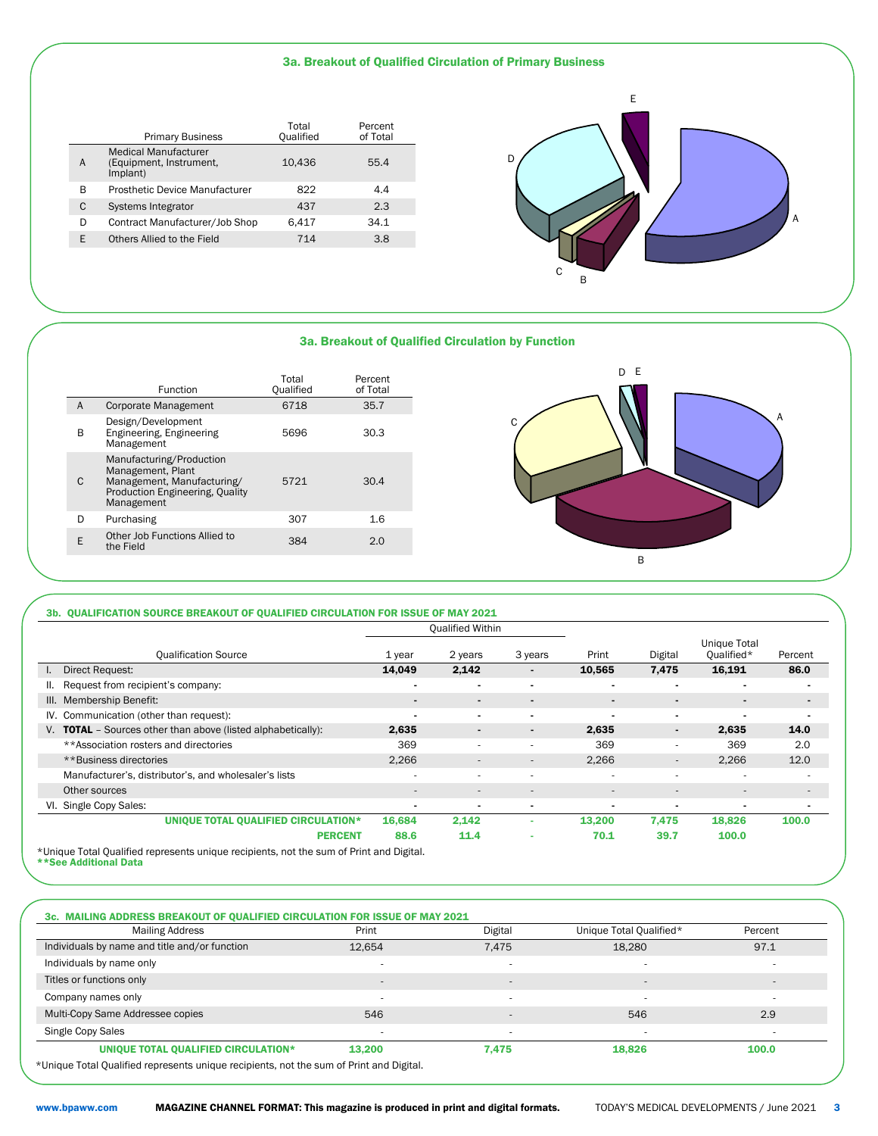#### 3a. Breakout of Qualified Circulation of Primary Business

|   | <b>Primary Business</b>                                            | Total<br>Qualified | Percent<br>of Total |
|---|--------------------------------------------------------------------|--------------------|---------------------|
| А | <b>Medical Manufacturer</b><br>(Equipment, Instrument,<br>Implant) | 10.436             | 55.4                |
| в | Prosthetic Device Manufacturer                                     | 822                | 4.4                 |
| C | Systems Integrator                                                 | 437                | 2.3                 |
| D | Contract Manufacturer/Job Shop                                     | 6.417              | 34.1                |
| F | Others Allied to the Field                                         | 714                | 3.8                 |
|   |                                                                    |                    |                     |



#### 3a. Breakout of Qualified Circulation by Function

|   | Function                                                                                                                     | Total<br>Oualified | Percent<br>of Total |
|---|------------------------------------------------------------------------------------------------------------------------------|--------------------|---------------------|
| A | Corporate Management                                                                                                         | 6718               | 35.7                |
| B | Design/Development<br>Engineering, Engineering<br>Management                                                                 | 5696               | 30.3                |
| C | Manufacturing/Production<br>Management, Plant<br>Management, Manufacturing/<br>Production Engineering, Quality<br>Management | 5721               | 30.4                |
| D | Purchasing                                                                                                                   | 307                | 1.6                 |
| E | Other Job Functions Allied to<br>the Field                                                                                   | 384                | 2.0                 |
|   |                                                                                                                              |                    |                     |



#### 3b. QUALIFICATION SOURCE BREAKOUT OF QUALIFIED CIRCULATION FOR ISSUE OF MAY 2021

|                                                                                         | <b>Qualified Within</b>  |                          |                          |                          |                          |                            |                          |
|-----------------------------------------------------------------------------------------|--------------------------|--------------------------|--------------------------|--------------------------|--------------------------|----------------------------|--------------------------|
| <b>Qualification Source</b>                                                             | 1 year                   | 2 years                  | 3 years                  | Print                    | Digital                  | Unique Total<br>Qualified* | Percent                  |
| Direct Request:                                                                         | 14,049                   | 2,142                    | $\blacksquare$           | 10,565                   | 7,475                    | 16,191                     | 86.0                     |
| Request from recipient's company:<br>II.                                                | $\overline{\phantom{0}}$ | $\blacksquare$           | $\blacksquare$           | $\blacksquare$           | $\blacksquare$           | $\overline{\phantom{0}}$   |                          |
| III. Membership Benefit:                                                                | $\blacksquare$           | $\blacksquare$           | $\blacksquare$           |                          | $\blacksquare$           |                            | $\blacksquare$           |
| IV. Communication (other than request):                                                 | $\blacksquare$           | $\blacksquare$           | $\blacksquare$           | $\blacksquare$           | $\blacksquare$           | $\blacksquare$             |                          |
| <b>TOTAL</b> - Sources other than above (listed alphabetically):<br>V.                  | 2,635                    | $\blacksquare$           | $\blacksquare$           | 2,635                    | $\blacksquare$           | 2,635                      | 14.0                     |
| **Association rosters and directories                                                   | 369                      | $\sim$                   | ۰                        | 369                      | $\sim$                   | 369                        | 2.0                      |
| **Business directories                                                                  | 2,266                    | $\overline{\phantom{a}}$ | $\overline{\phantom{a}}$ | 2,266                    | $\overline{\phantom{a}}$ | 2,266                      | 12.0                     |
| Manufacturer's, distributor's, and wholesaler's lists                                   | ۰                        | $\sim$                   | ۰                        | ۰                        | $\overline{\phantom{a}}$ | ٠                          | ٠                        |
| Other sources                                                                           | $\overline{\phantom{a}}$ | $\overline{\phantom{a}}$ | $\overline{\phantom{a}}$ | $\overline{\phantom{a}}$ | $\overline{\phantom{a}}$ | $\overline{\phantom{a}}$   | $\overline{\phantom{a}}$ |
| Single Copy Sales:<br>VI.                                                               | $\blacksquare$           | $\blacksquare$           |                          | $\overline{\phantom{0}}$ | $\blacksquare$           | $\blacksquare$             | $\blacksquare$           |
| <b>UNIQUE TOTAL QUALIFIED CIRCULATION*</b>                                              | 16,684                   | 2,142                    |                          | 13,200                   | 7,475                    | 18,826                     | 100.0                    |
| <b>PERCENT</b>                                                                          | 88.6                     | 11.4                     | ۰                        | 70.1                     | 39.7                     | 100.0                      |                          |
| *Unique Total Qualified represents unique recipients, not the sum of Print and Digital. |                          |                          |                          |                          |                          |                            |                          |

\*\*See Additional Data

#### 3c. MAILING ADDRESS BREAKOUT OF QUALIFIED CIRCULATION FOR ISSUE OF MAY 2021

| <b>Mailing Address</b>                                                                  | Print                    | Digital                  | Unique Total Qualified*  | Percent |
|-----------------------------------------------------------------------------------------|--------------------------|--------------------------|--------------------------|---------|
| Individuals by name and title and/or function                                           | 12,654                   | 7,475                    | 18,280                   | 97.1    |
| Individuals by name only                                                                | $\overline{\phantom{a}}$ |                          |                          |         |
| Titles or functions only                                                                | $\overline{a}$           | $\overline{a}$           | $\overline{\phantom{a}}$ | -       |
| Company names only                                                                      | ۰.                       |                          |                          | ۰       |
| Multi-Copy Same Addressee copies                                                        | 546                      | $\overline{a}$           | 546                      | 2.9     |
| Single Copy Sales                                                                       |                          | $\overline{\phantom{a}}$ |                          |         |
| UNIQUE TOTAL QUALIFIED CIRCULATION*                                                     | 13.200                   | 7.475                    | 18,826                   | 100.0   |
| *Unique Total Qualified represents unique recipients, not the sum of Print and Digital. |                          |                          |                          |         |